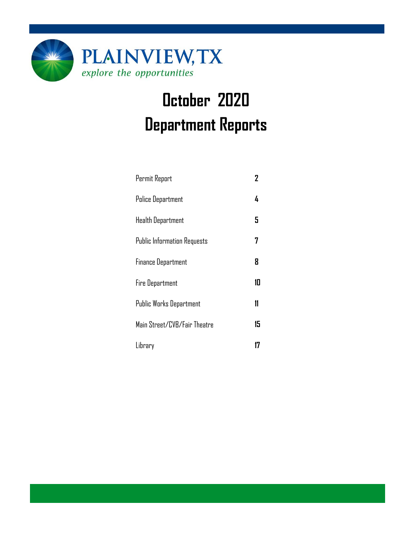

# **October 2020 Department Reports**

| Permit Report                      | 2  |
|------------------------------------|----|
| <b>Police Department</b>           | 4  |
| <b>Health Department</b>           | 5  |
| <b>Public Information Requests</b> | 7  |
| <b>Finance Department</b>          | 8  |
| <b>Fire Department</b>             | 10 |
| Public Works Department            | 11 |
| Main Street/CVB/Fair Theatre       | 15 |
| Library                            |    |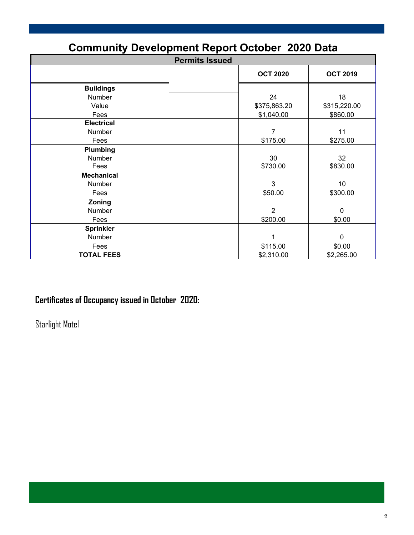| <b>Community Development Report October 2020 Data</b> |                       |                 |                 |  |  |  |  |
|-------------------------------------------------------|-----------------------|-----------------|-----------------|--|--|--|--|
|                                                       | <b>Permits Issued</b> |                 |                 |  |  |  |  |
|                                                       |                       | <b>OCT 2020</b> | <b>OCT 2019</b> |  |  |  |  |
| <b>Buildings</b>                                      |                       |                 |                 |  |  |  |  |
| Number                                                |                       | 24              | 18              |  |  |  |  |
| Value                                                 |                       | \$375,863.20    | \$315,220.00    |  |  |  |  |
| Fees                                                  |                       | \$1,040.00      | \$860.00        |  |  |  |  |
| <b>Electrical</b>                                     |                       |                 |                 |  |  |  |  |
| Number                                                |                       | $\overline{7}$  | 11              |  |  |  |  |
| Fees                                                  |                       | \$175.00        | \$275.00        |  |  |  |  |
| Plumbing                                              |                       |                 |                 |  |  |  |  |
| <b>Number</b>                                         |                       | 30              | 32              |  |  |  |  |
| Fees                                                  |                       | \$730.00        | \$830.00        |  |  |  |  |
| <b>Mechanical</b>                                     |                       |                 |                 |  |  |  |  |
| Number                                                |                       | 3               | 10              |  |  |  |  |
| Fees                                                  |                       | \$50.00         | \$300.00        |  |  |  |  |
| Zoning                                                |                       |                 |                 |  |  |  |  |
| Number                                                |                       | $\overline{2}$  | $\mathbf 0$     |  |  |  |  |
| Fees                                                  |                       | \$200.00        | \$0.00          |  |  |  |  |
| <b>Sprinkler</b>                                      |                       |                 |                 |  |  |  |  |
| Number                                                |                       | 1               | $\mathbf 0$     |  |  |  |  |
| Fees                                                  |                       | \$115.00        | \$0.00          |  |  |  |  |
| <b>TOTAL FEES</b>                                     |                       | \$2,310.00      | \$2,265.00      |  |  |  |  |

## **Certificates of Occupancy issued in October 2020:**

Starlight Motel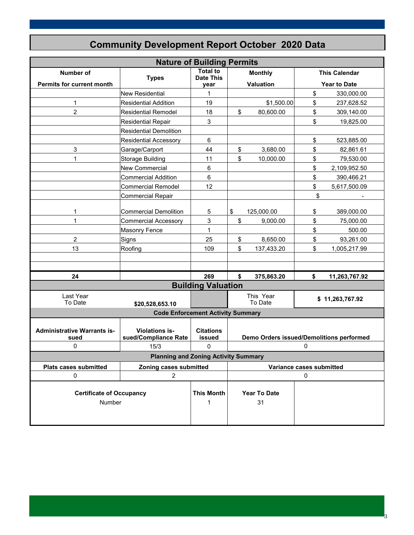| <b>Nature of Building Permits</b>          |                                                    |                            |           |                                          |                 |                      |
|--------------------------------------------|----------------------------------------------------|----------------------------|-----------|------------------------------------------|-----------------|----------------------|
| <b>Number of</b>                           |                                                    | <b>Total to</b>            |           | <b>Monthly</b>                           |                 | <b>This Calendar</b> |
| Permits for current month                  | <b>Types</b>                                       | <b>Date This</b><br>year   |           | <b>Valuation</b>                         |                 | <b>Year to Date</b>  |
|                                            | <b>New Residential</b>                             | 1                          |           |                                          | \$              | 330,000.00           |
| $\mathbf{1}$                               | <b>Residential Addition</b>                        | 19                         |           | \$1,500.00                               | \$              | 237,628.52           |
| $\overline{c}$                             | <b>Residential Remodel</b>                         | 18                         | \$        | 80,600.00                                | \$              | 309,140.00           |
|                                            | <b>Residential Repair</b>                          | 3                          |           |                                          | \$              | 19,825.00            |
|                                            | <b>Residential Demolition</b>                      |                            |           |                                          |                 |                      |
|                                            | <b>Residential Accessory</b>                       | 6                          |           |                                          | \$              | 523,885.00           |
| 3                                          | Garage/Carport                                     | 44                         | \$        | 3,680.00                                 | \$              | 82,861.61            |
| 1                                          | Storage Building                                   | 11                         | \$        | 10,000.00                                | \$              | 79,530.00            |
|                                            | New Commercial                                     | 6                          |           |                                          | \$              | 2,109,952.50         |
|                                            | Commercial Addition                                | 6                          |           |                                          | \$              | 390,466.21           |
|                                            | Commercial Remodel                                 | 12                         |           |                                          | \$              | 5,617,500.09         |
|                                            | Commercial Repair                                  |                            |           |                                          | \$              |                      |
|                                            |                                                    |                            |           |                                          |                 |                      |
| 1                                          | Commercial Demolition                              | 5                          | \$        | 125,000.00                               | \$              | 389,000.00           |
| $\mathbf{1}$                               | Commercial Accessory                               | 3                          | \$        | 9,000.00                                 | \$              | 75,000.00            |
|                                            | <b>Masonry Fence</b>                               | $\mathbf{1}$               |           |                                          | \$              | 500.00               |
| $\overline{c}$                             | Signs                                              | 25                         | \$        | 8,650.00                                 | \$              | 93,261.00            |
| 13                                         | Roofing                                            | 109                        | \$        | 137,433.20                               | \$              | 1,005,217.99         |
|                                            |                                                    |                            |           |                                          |                 |                      |
|                                            |                                                    |                            |           |                                          |                 |                      |
| 24                                         |                                                    | 269                        | \$        | 375,863.20                               | \$              | 11,263,767.92        |
|                                            |                                                    | <b>Building Valuation</b>  |           |                                          |                 |                      |
| Last Year                                  |                                                    |                            | This Year |                                          | \$11,263,767.92 |                      |
| To Date                                    | \$20,528,653.10                                    |                            |           | To Date                                  |                 |                      |
|                                            | <b>Code Enforcement Activity Summary</b>           |                            |           |                                          |                 |                      |
|                                            |                                                    |                            |           |                                          |                 |                      |
| <b>Administrative Warrants is-</b><br>sued | Violations is-<br>sued/Compliance Rate             | <b>Citations</b><br>issued |           | Demo Orders issued/Demolitions performed |                 |                      |
| 0                                          | 15/3                                               | $\mathbf{0}$               |           |                                          | 0               |                      |
|                                            | <b>Planning and Zoning Activity Summary</b>        |                            |           |                                          |                 |                      |
| <b>Plats cases submitted</b>               | Zoning cases submitted<br>Variance cases submitted |                            |           |                                          |                 |                      |
| $\mathbf 0$                                | $\overline{c}$                                     |                            |           |                                          | 0               |                      |
|                                            |                                                    |                            |           |                                          |                 |                      |
| <b>Certificate of Occupancy</b>            |                                                    | <b>This Month</b>          |           | <b>Year To Date</b>                      |                 |                      |
| Number                                     |                                                    | 1                          |           | 31                                       |                 |                      |
|                                            |                                                    |                            |           |                                          |                 |                      |
|                                            |                                                    |                            |           |                                          |                 |                      |

3

## **Community Development Report October 2020 Data**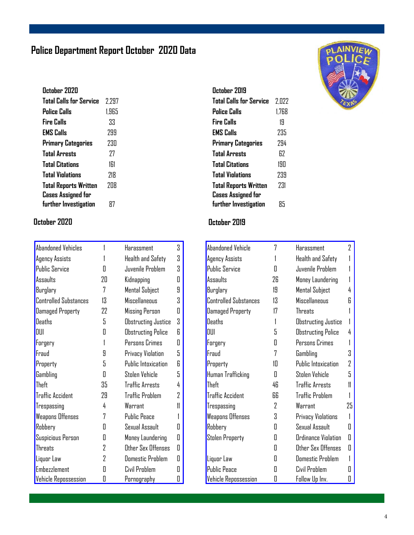## **Police Department Report October 2020 Data**

| October 2020                 |       |
|------------------------------|-------|
| Total Calls for Service      | 2.297 |
| Police Calls                 | 1.965 |
| Fire Calls                   | 33    |
| <b>EMS Calls</b>             | 299   |
| Primary Categories           | 230   |
| <b>Total Arrests</b>         | 77    |
| <b>Total Citations</b>       | 161   |
| <b>Total Violations</b>      | 718   |
| <b>Total Reports Written</b> | 7N8   |
| <b>Cases Assigned for</b>    |       |
| further Investigation        | 87    |

#### **October 2020 October 2019**

| <b>Abandoned Vehicles</b>    |    | Harassment                | 3  |
|------------------------------|----|---------------------------|----|
| <b>Agency Assists</b>        |    | Health and Safety         | 3  |
| <b>Public Service</b>        | Π  | Juvenile Problem          | 3  |
| Assaults                     | 20 | Kidnapping                | Π  |
| Burglary                     | 7  | Mental Subject            | 9  |
| <b>Controlled Substances</b> | 13 | Miscellaneous             | 3  |
| <b>Damaged Property</b>      | 22 | Missing Person            | 0  |
| <b>Deaths</b>                | 5  | Obstructing Justice       | 3  |
| DUI                          | Π  | <b>Obstructing Police</b> | 6  |
| Forgery                      | 1  | Persons Crimes            | Π  |
| Fraud                        | 9  | Privacy Violation         | 5  |
| Property                     | 5  | Public Intoxication       | R  |
| Gambling                     | 0  | Stolen Vehicle            | 5  |
| <b>Theft</b>                 | 35 | <b>Traffic Arrests</b>    | 4  |
| <b>Traffic Accident</b>      | 29 | <b>Traffic Problem</b>    | 2  |
| Trespassing                  | 4  | Warrant                   | 11 |
| <b>Weapons Offenses</b>      | 7  | <b>Public Peace</b>       | 1  |
| Robbery                      | Π  | Sexual Assault            | Π  |
| Suspicious Person            | П  | Money Laundering          | Π  |
| Threats                      | 2  | Other Sex Offenses        | Π  |
| Liquor Law                   | 2  | <b>Domestic Problem</b>   | П  |
| <b>Embezzlement</b>          | П  | Civil Problem             | П  |
| <b>Vehicle Repossession</b>  | 0  | <u>Pornography</u>        | O  |

| October 2019                 |       |
|------------------------------|-------|
| Total Calls for Service      | 2.022 |
| Police Calls                 | 1.768 |
| <b>Fire Calls</b>            | 19    |
| <b>EMS Calls</b>             | 235   |
| <b>Primary Categories</b>    | 794   |
| <b>Total Arrests</b>         | 67    |
| <b>Total Citations</b>       | 190   |
| <b>Total Violations</b>      | 239   |
| <b>Total Reports Written</b> | 231   |
| <b>Cases Assigned for</b>    |       |
| further Investigation        | 85    |

| Abandoned Vehicle            | 7  | Harassment                | 2  |
|------------------------------|----|---------------------------|----|
| Agency Assists               |    | <b>Health and Safety</b>  |    |
| <b>Public Service</b>        | П  | Juvenile Problem          |    |
| Assaults                     | 26 | Money Laundering          |    |
| Burglary                     | 19 | <b>Mental Subject</b>     | 4  |
| <b>Controlled Substances</b> | 13 | <b>Miscellaneous</b>      | R  |
| Damaged Property             | 17 | <b>Threats</b>            |    |
| Deaths                       | 1  | Obstructing Justice       |    |
| DUI                          | 5  | <b>Obstructing Police</b> | 4  |
| Forgery                      | Π  | Persons Crimes            |    |
| Fraud                        | 7  | Gambling                  | 3  |
| Property                     | 10 | Public Intoxication       | 2  |
| Human Trafficking            | Π  | Stolen Vehicle            | 5  |
| Theft                        | 46 | <b>Traffic Arrests</b>    | 11 |
| <b>Traffic Accident</b>      | 66 | <b>Traffic Problem</b>    |    |
| Trespassing                  | 2  | Warrant                   | 25 |
| <b>Weapons Offenses</b>      | 3  | Privacy Violations        |    |
| Robbery                      | Π  | Sexual Assault            | П  |
| <b>Stolen Property</b>       | Π  | Ordinance Violation       | П  |
|                              | Π  | Other Sex Offenses        | П  |
| Liquor Law                   | П  | <b>Domestic Problem</b>   |    |
| <b>Public Peace</b>          | П  | Civil Problem             | H  |
| <b>Vehicle Repossession</b>  | O  | Follow Up Inv.            | П  |

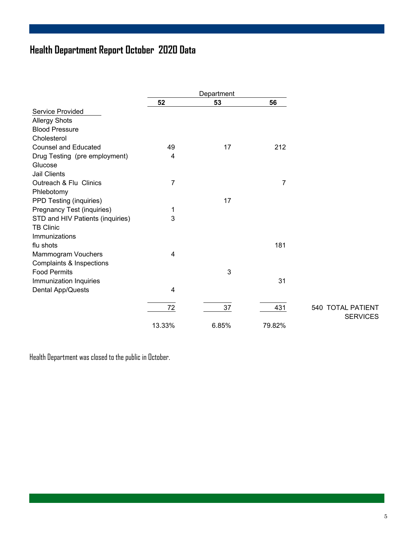## **Health Department Report October 2020 Data**

|                                  |                         | Department |        |                   |
|----------------------------------|-------------------------|------------|--------|-------------------|
|                                  | 52                      | 53         | 56     |                   |
| <b>Service Provided</b>          |                         |            |        |                   |
| <b>Allergy Shots</b>             |                         |            |        |                   |
| <b>Blood Pressure</b>            |                         |            |        |                   |
| Cholesterol                      |                         |            |        |                   |
| <b>Counsel and Educated</b>      | 49                      | 17         | 212    |                   |
| Drug Testing (pre employment)    | 4                       |            |        |                   |
| Glucose                          |                         |            |        |                   |
| <b>Jail Clients</b>              |                         |            |        |                   |
| Outreach & Flu Clinics           | $\overline{7}$          |            | 7      |                   |
| Phlebotomy                       |                         |            |        |                   |
| PPD Testing (inquiries)          |                         | 17         |        |                   |
| Pregnancy Test (inquiries)       | 1                       |            |        |                   |
| STD and HIV Patients (inquiries) | 3                       |            |        |                   |
| <b>TB Clinic</b>                 |                         |            |        |                   |
| Immunizations                    |                         |            |        |                   |
| flu shots                        |                         |            | 181    |                   |
| Mammogram Vouchers               | $\overline{\mathbf{4}}$ |            |        |                   |
| Complaints & Inspections         |                         |            |        |                   |
| <b>Food Permits</b>              |                         | 3          |        |                   |
| Immunization Inquiries           |                         |            | 31     |                   |
| Dental App/Quests                | $\overline{4}$          |            |        |                   |
|                                  | 72                      | 37         | 431    | 540 TOTAL PATIENT |
|                                  |                         |            |        | <b>SERVICES</b>   |
|                                  | 13.33%                  | 6.85%      | 79.82% |                   |

Health Department was closed to the public in October.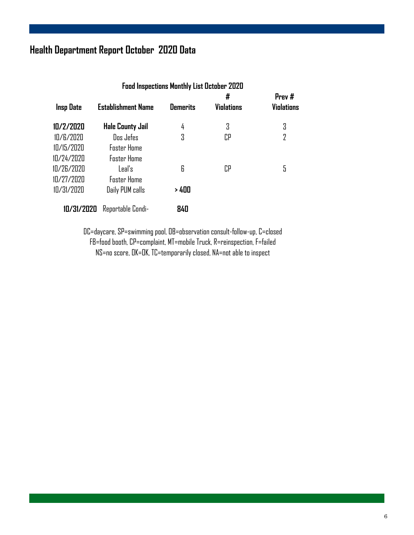## **Health Department Report October 2020 Data**

|                  | <b>Food Inspections Monthly List October 2020</b> |                 |                   |                   |  |  |  |  |
|------------------|---------------------------------------------------|-----------------|-------------------|-------------------|--|--|--|--|
|                  |                                                   |                 | #                 | Prev #            |  |  |  |  |
| <b>Insp Date</b> | <b>Establishment Name</b>                         | <b>Demerits</b> | <b>Violations</b> | <b>Violations</b> |  |  |  |  |
| 10/2/2020        | <b>Hale County Jail</b>                           | 4               | 3                 | 3                 |  |  |  |  |
| 10/6/2020        | Dos Jefes                                         | 3               | СP                | $\overline{2}$    |  |  |  |  |
| 10/15/2020       | <b>Foster Home</b>                                |                 |                   |                   |  |  |  |  |
| 10/24/2020       | <b>Foster Home</b>                                |                 |                   |                   |  |  |  |  |
| 10/26/2020       | Leal's                                            | 6               | CP                | 5                 |  |  |  |  |
| 10/27/2020       | <b>Foster Home</b>                                |                 |                   |                   |  |  |  |  |
| 10/31/2020       | Daily PUM calls                                   | > 400           |                   |                   |  |  |  |  |
| 10/31/2020       | Reportable Condi-                                 | 840             |                   |                   |  |  |  |  |

DC=daycare, SP=swimming pool, OB=observation consult-follow-up, C=closed FB=food booth, CP=complaint, MT=mobile Truck, R=reinspection, F=failed NS=no score, OK=OK, TC=temporarily closed, NA=not able to inspect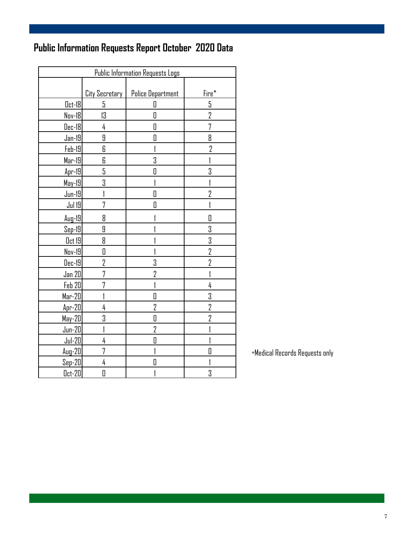## **Public Information Requests Report October 2020 Data**

| <b>Public Information Requests Logs</b> |                       |                          |                |  |  |  |
|-----------------------------------------|-----------------------|--------------------------|----------------|--|--|--|
|                                         |                       |                          |                |  |  |  |
|                                         | <b>City Secretary</b> | <b>Police Department</b> | Fire*          |  |  |  |
| $0$ ct-18                               | 5                     | П                        | 5              |  |  |  |
| Nov-18                                  | 13                    | $\Box$                   | $\overline{2}$ |  |  |  |
| <u> Dec-18</u>                          | 4                     | O                        | 7              |  |  |  |
| <u> Jan-19 </u>                         | 9                     | O                        | 8              |  |  |  |
| $Feb-19$                                | 6                     |                          | $\overline{2}$ |  |  |  |
| $Mar-19$                                | 6                     | 3                        |                |  |  |  |
| Apr-19                                  | 5                     | O                        | 3              |  |  |  |
| $May-19$                                | 3                     |                          |                |  |  |  |
| <u>Jun-19</u>                           | 1                     | 0                        | 2              |  |  |  |
| <b>Jul 19</b>                           | 7                     | D                        |                |  |  |  |
| $Auq-19$                                | 8                     |                          | Π              |  |  |  |
| $Sep-19$                                | 9                     |                          | 3              |  |  |  |
| Oct 19                                  | 8                     |                          | 3              |  |  |  |
| Nov-19                                  | 0                     |                          | $\overline{2}$ |  |  |  |
| $Dec-19$                                | 2                     | 3                        | $\overline{2}$ |  |  |  |
| <u>Jan 20</u>                           | 7                     | 2                        |                |  |  |  |
| Feb 20                                  | 7                     |                          | 4              |  |  |  |
| $Mar-20$                                |                       | D                        | 3              |  |  |  |
| $Apr-20$                                | 4                     | $\overline{2}$           | $\overline{2}$ |  |  |  |
| $May-20$                                | 3                     | $\overline{\mathbf{a}}$  | $\overline{2}$ |  |  |  |
| $Jun-20$                                |                       | $\overline{2}$           |                |  |  |  |
| $Jul-20$                                | 4                     | 0                        |                |  |  |  |
| $Aug-20$                                | 7                     |                          | Π              |  |  |  |
| $Sep-20$                                | 4                     | O                        |                |  |  |  |
| <u> Oct-20</u>                          | 0                     |                          | 3              |  |  |  |

\*Medical Records Requests only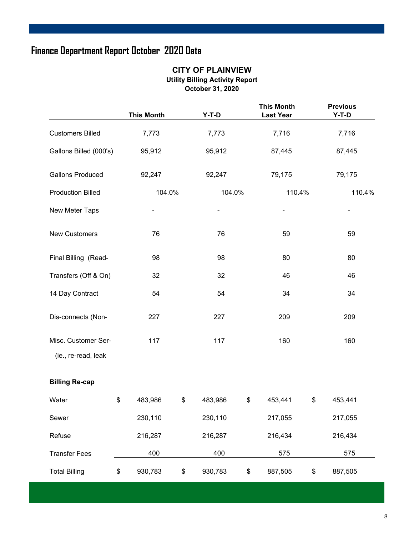## **Finance Department Report October 2020 Data**

#### **CITY OF PLAINVIEW Utility Billing Activity Report October 31, 2020**

|                                            | <b>This Month</b> | $Y-T-D$       | <b>This Month</b><br><b>Last Year</b> |      | <b>Previous</b><br>$Y-T-D$ |
|--------------------------------------------|-------------------|---------------|---------------------------------------|------|----------------------------|
| <b>Customers Billed</b>                    | 7,773             | 7,773         | 7,716                                 |      | 7,716                      |
| Gallons Billed (000's)                     | 95,912            | 95,912        | 87,445                                |      | 87,445                     |
| <b>Gallons Produced</b>                    | 92,247            | 92,247        | 79,175                                |      | 79,175                     |
| <b>Production Billed</b>                   | 104.0%            | 104.0%        | 110.4%                                |      | 110.4%                     |
| New Meter Taps                             |                   |               |                                       |      |                            |
| New Customers                              | 76                | 76            | 59                                    |      | 59                         |
| Final Billing (Read-                       | 98                | 98            | 80                                    |      | 80                         |
| Transfers (Off & On)                       | 32                | 32            | 46                                    |      | 46                         |
| 14 Day Contract                            | 54                | 54            | 34                                    |      | 34                         |
| Dis-connects (Non-                         | 227               | 227           | 209                                   |      | 209                        |
| Misc. Customer Ser-<br>(ie., re-read, leak | 117               | 117           | 160                                   |      | 160                        |
| <b>Billing Re-cap</b>                      |                   |               |                                       |      |                            |
| Water                                      | \$<br>483,986     | \$<br>483,986 | \$<br>453,441                         | \$   | 453,441                    |
| Sewer                                      | 230,110           | 230,110       | 217,055                               |      | 217,055                    |
| Refuse                                     | 216,287           | 216,287       | 216,434                               |      | 216,434                    |
| <b>Transfer Fees</b>                       | 400               | 400           | 575                                   |      | 575                        |
| <b>Total Billing</b>                       | \$<br>930,783     | \$<br>930,783 | \$<br>887,505                         | $\,$ | 887,505                    |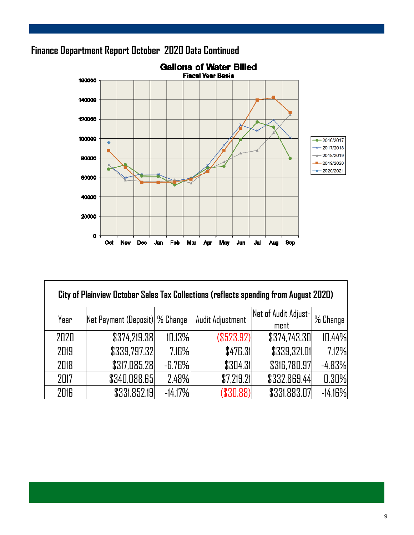

## **Finance Department Report October 2020 Data Continued**

| City of Plainview October Sales Tax Collections (reflects spending from August 2020) |                                       |           |                  |                              |           |  |  |  |  |  |
|--------------------------------------------------------------------------------------|---------------------------------------|-----------|------------------|------------------------------|-----------|--|--|--|--|--|
| Year                                                                                 | <b>Net Payment (Deposit) % Change</b> |           | Audit Adjustment | Net of Audit Adjust-<br>ment | % Change  |  |  |  |  |  |
| 2020                                                                                 | \$374,219.38                          | 10.13%    | (\$523.92)       | \$374,743.30                 | 10.44%    |  |  |  |  |  |
| 2019                                                                                 | \$339,797.32                          | 7.16%     | \$476.31         | \$339,321.01                 | 7.12%     |  |  |  |  |  |
| 2018                                                                                 | \$317,085.28                          | $-6.76%$  | \$304.31         | \$316,780.97                 | $-4.83%$  |  |  |  |  |  |
| 2017                                                                                 | \$340,088.65                          | 2.48%     | \$7,219.21       | \$332,869.44                 | 0.30%     |  |  |  |  |  |
| 2016                                                                                 | \$331,852.19                          | $-14.17%$ | (\$30.88)        | \$331,883.07                 | $-14.16%$ |  |  |  |  |  |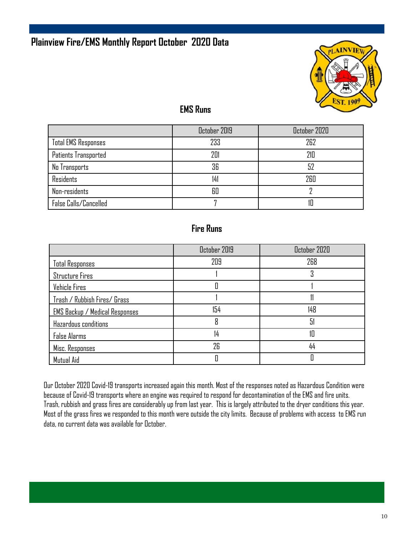

#### **EMS Runs**

|                            | October 2019 | October 2020 |
|----------------------------|--------------|--------------|
| <b>Total EMS Responses</b> | 233          | 262          |
| Patients Transported       | 201          | 210          |
| No Transports              | 36           | 52           |
| Residents                  | 141          | 260          |
| Non-residents              | 60           |              |
| False Calls/Cancelled      |              |              |

#### **Fire Runs**

|                                       | October 2019 | October 2020 |
|---------------------------------------|--------------|--------------|
| <b>Total Responses</b>                | 209          | 268          |
| <b>Structure Fires</b>                |              | ப            |
| Vehicle Fires                         |              |              |
| Trash / Rubbish Fires/ Grass          |              |              |
| <b>EMS Backup / Medical Responses</b> | 154          | 148          |
| Hazardous conditions                  | 8            | 51           |
| <b>False Alarms</b>                   | 14           | 10           |
| Misc. Responses                       | 26           | 44           |
| Mutual Aid                            |              |              |

Our October 2020 Covid-19 transports increased again this month. Most of the responses noted as Hazardous Condition were because of Covid-19 transports where an engine was required to respond for decontamination of the EMS and fire units. Trash, rubbish and grass fires are considerably up from last year. This is largely attributed to the dryer conditions this year. Most of the grass fires we responded to this month were outside the city limits. Because of problems with access to EMS run data, no current data was available for October.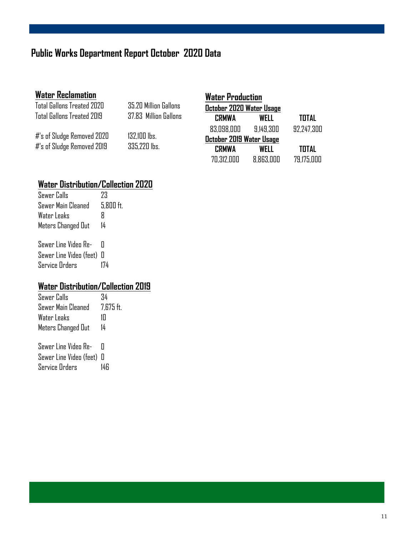## **Public Works Department Report October 2020 Data**

| <b>Water Reclamation</b>   |                       | <b>Water Production</b>  |           |              |
|----------------------------|-----------------------|--------------------------|-----------|--------------|
| Total Gallons Treated 2020 | 35.20 Million Gallons | October 2020 Water Usage |           |              |
| Total Gallons Treated 2019 | 37.83 Million Gallons | <b>CRMWA</b>             | WELL      | <b>TOTAL</b> |
|                            |                       | 83.098.000               | 9.149.300 | 92.247.300   |
| #'s of Sludge Removed 2020 | $132,100$ lbs.        | October 2019 Water Usage |           |              |
| #'s of Sludge Removed 2019 | 335,220 lbs.          | <b>CRMWA</b>             | WELL      | <b>TOTAL</b> |
|                            |                       | 70.312.000               | 8.863.000 | 79,175,000   |

## **Water Distribution/Collection 2020**

| Sewer Calls             | 73          |
|-------------------------|-------------|
| Sewer Main Cleaned      | $5.800$ ft. |
| Water Leaks             | R           |
| Meters Changed Out      | 14          |
|                         |             |
| Sewer Line Video Re-    | П           |
| Sewer Line Video (feet) | Л           |
| <b>Service Orders</b>   |             |

## **Water Distribution/Collection 2019**

| Sewer Calls          | 34        |
|----------------------|-----------|
| Sewer Main Cleaned   | 7.675 ft. |
| Water Leaks          | 1П        |
| Meters Changed Out   | 14        |
|                      |           |
| Sewer Line Video Re- |           |

| Sewer Line Video (feet) 0 |     |
|---------------------------|-----|
| <b>Service Orders</b>     | 14R |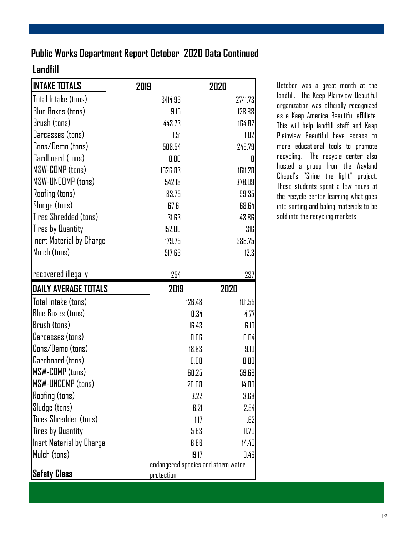### **Public Works Department Report October 2020 Data Continued**

### **Landfill**

| <b>INTAKE TOTALS</b>        | 2019       | 2020                               |
|-----------------------------|------------|------------------------------------|
| Total Intake (tons)         | 3414.93    | 2741.73                            |
| <b>Blue Boxes (tons)</b>    | 9.15       | 128.88                             |
| Brush (tons)                | 443.73     | 164.82                             |
| Carcasses (tons)            | 1.51       | 1.02                               |
| Cons/Demo (tons)            | 508.54     | 245.79                             |
| Cardboard (tons)            | 0.00       | 0                                  |
| MSW-COMP (tons)             | 1626.83    | 1611.28                            |
| MSW-UNCOMP (tons)           | 542.18     | 378.09                             |
| <b>Roofing (tons)</b>       | 83.75      | 99.35                              |
| Sludge (tons)               | 167.61     | 68.64                              |
| Tires Shredded (tons)       | 31.63      | 43.86                              |
| <b>Tires by Quantity</b>    | 152.00     | 316                                |
| Inert Material by Charge    | 179.75     | 388.75                             |
| Mulch (tons)                | 517.63     | 12.3                               |
|                             |            |                                    |
| recovered illegally         | 254        | 237                                |
|                             |            |                                    |
| <b>DAILY AVERAGE TOTALS</b> | 2019       | 2020                               |
| Total Intake (tons)         | 126.48     | 101.55                             |
| <b>Blue Boxes (tons)</b>    |            | 0.34<br>4.77                       |
| Brush (tons)                |            | 6.10<br>16.43                      |
| Carcasses (tons)            |            | 0.04<br>0.06                       |
| Cons/Demo (tons)            |            | 18.83<br>9.10                      |
| Cardboard (tons)            |            | 0.00<br>0.00                       |
| MSW-COMP (tons)             |            | 59.68<br>60.25                     |
| <b>MSW-UNCOMP (tons)</b>    |            | 20.08<br>14.00                     |
| <b>Roofing (tons)</b>       |            | 3.68<br>3.22                       |
| Sludge (tons)               |            | 6.21<br>2.54                       |
| Tires Shredded (tons)       |            | 1.62<br>1.17                       |
| <b>Tires by Quantity</b>    |            | 5.63<br>11.70                      |
| Inert Material by Charge    |            | 14.40<br>6.66                      |
| Mulch (tons)                |            | 19.17<br>0.46                      |
| <b>Safety Class</b>         | protection | endangered species and storm water |

October was a great month at the landfill. The Keep Plainview Beautiful organization was officially recognized as a Keep America Beautiful affiliate. This will help landfill staff and Keep Plainview Beautiful have access to more educational tools to promote recycling. The recycle center also hosted a group from the Wayland Chapel's "Shine the light" project. These students spent a few hours at the recycle center learning what goes into sorting and baling materials to be sold into the recycling markets.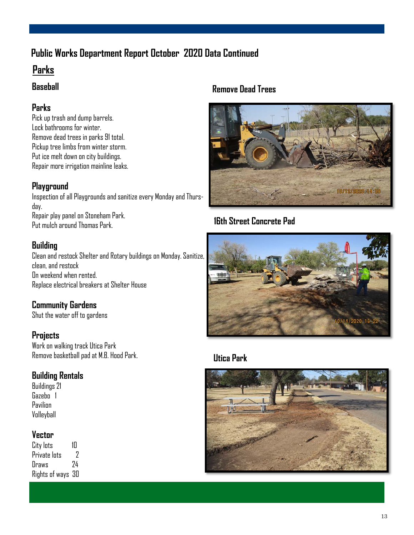## **Public Works Department Report October 2020 Data Continued**

## **Parks**

#### **Baseball**

#### **Parks**

Pick up trash and dump barrels. Lock bathrooms for winter. Remove dead trees in parks 91 total. Pickup tree limbs from winter storm. Put ice melt down on city buildings. Repair more irrigation mainline leaks.

#### **Playground**

Inspection of all Playgrounds and sanitize every Monday and Thursday. Repair play panel on Stoneham Park. Put mulch around Thomas Park.

#### **Building**

Clean and restock Shelter and Rotary buildings on Monday. Sanitize, clean, and restock On weekend when rented. Replace electrical breakers at Shelter House

#### **Community Gardens**

Shut the water off to gardens

#### **Projects**

Work on walking track Utica Park Remove basketball pad at M.B. Hood Park.

#### **Building Rentals**

Buildings 21 Gazebo 1 Pavilion Volleyball

#### **Vector**

City lots 10<br>Private lots 2 Private Ints Draws 24 Rights of ways 30

#### **Remove Dead Trees**



**16th Street Concrete Pad** 



#### **Utica Park**

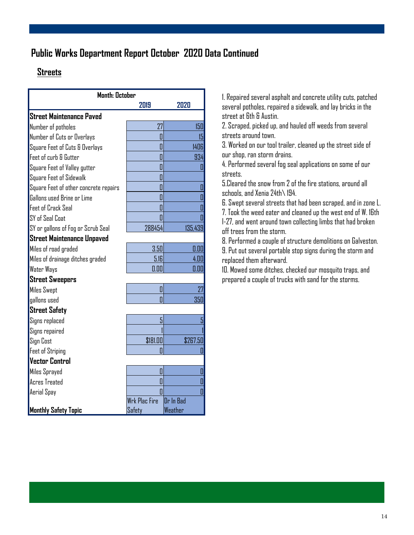## **Public Works Department Report October 2020 Data Continued**

#### **Streets**

| <b>Month: October</b>                 |                      |           |  |
|---------------------------------------|----------------------|-----------|--|
|                                       | 2019                 | 2020      |  |
| Street Maintenance Paved              |                      |           |  |
| Number of potholes                    | 27                   | 150       |  |
| Number of Cuts or Overlays            | 0                    | 15        |  |
| Square Feet of Cuts & Overlays        | П                    | 1406      |  |
| Feet of curb & Gutter                 | Π                    | 934       |  |
| Square Feet of Valley gutter          | 0                    | 0         |  |
| Square Feet of Sidewalk               | Π                    |           |  |
| Square Feet of other concrete repairs | Π                    | 0         |  |
| Gallons used Brine or Lime            | 0                    | Ō         |  |
| <b>Feet of Crack Seal</b>             | Π                    | П         |  |
| SY of Seal Coat                       | Π                    | Ō         |  |
| SY or gallons of Fog or Scrub Seal    | 288454               | 135,439   |  |
| Street Maintenance Unpaved            |                      |           |  |
| Miles of road graded                  | 3.50                 | 0.00      |  |
| Miles of drainage ditches graded      | 5.16                 | 4.00      |  |
| <b>Water Ways</b>                     | 0.00                 | 0.00      |  |
| <b>Street Sweepers</b>                |                      |           |  |
| <b>Miles Swept</b>                    | 0                    | 27        |  |
| gallons used                          | П                    | 350       |  |
| <b>Street Safety</b>                  |                      |           |  |
| Signs replaced                        | 5                    | 5         |  |
| Signs repaired                        |                      |           |  |
| Sign Cost                             | \$181.00             | \$267.50  |  |
| <b>Feet of Striping</b>               | ı                    | 0         |  |
| Vector Control                        |                      |           |  |
| Miles Sprayed                         | I                    | 0         |  |
| <b>Acres Treated</b>                  | Π                    | Ō         |  |
| Aerial Spay                           | Π                    | Ō         |  |
|                                       | <b>Wrk Plac Fire</b> | Dr In Bad |  |
| <b>Monthly Safety Topic</b>           | Safety               | Weather   |  |

1. Repaired several asphalt and concrete utility cuts, patched several potholes, repaired a sidewalk, and lay bricks in the street at 6th & Austin.

2. Scraped, picked up, and hauled off weeds from several streets around town.

3. Worked on our tool trailer, cleaned up the street side of our shop, ran storm drains.

4. Performed several fog seal applications on some of our streets.

5.Cleared the snow from 2 of the fire stations, around all schools, and Xenia 24th\ 194.

6. Swept several streets that had been scraped, and in zone L. 7. Took the weed eater and cleaned up the west end of W. 16th I-27, and went around town collecting limbs that had broken off trees from the storm.

8. Performed a couple of structure demolitions on Galveston. 9. Put out several portable stop signs during the storm and replaced them afterward.

10. Mowed some ditches, checked our mosquito traps, and prepared a couple of trucks with sand for the storms.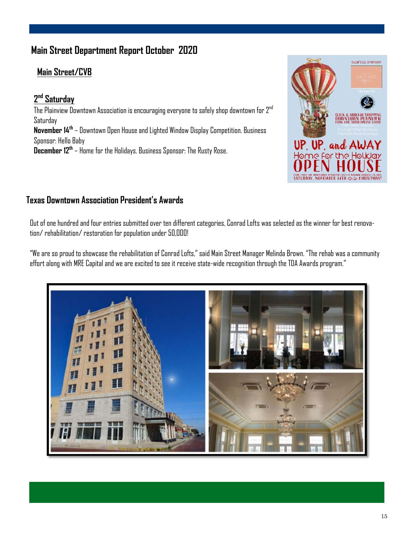## **Main Street Department Report October 2020**

#### **Main Street/CVB**

**2 nd Saturday**  The Plainview Downtown Association is encouraging everyone to safely shop downtown for  $2^{nd}$ Saturday **November 14th** – Downtown Open House and Lighted Window Display Competition. Business Sponsor: Hello Baby **December 12th** – Home for the Holidays. Business Sponsor: The Rusty Rose.



#### **Texas Downtown Association President's Awards**

Out of one hundred and four entries submitted over ten different categories, Conrad Lofts was selected as the winner for best renovation/ rehabilitation/ restoration for population under 50,000!

"We are so proud to showcase the rehabilitation of Conrad Lofts," said Main Street Manager Melinda Brown. "The rehab was a community effort along with MRE Capital and we are excited to see it receive state-wide recognition through the TDA Awards program."

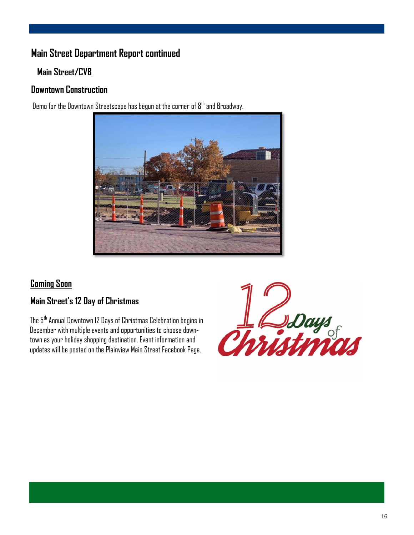## **Main Street Department Report continued**

#### **Main Street/CVB**

#### **Downtown Construction**

Demo for the Downtown Streetscape has begun at the corner of  $8<sup>th</sup>$  and Broadway.



#### **Coming Soon**

#### **Main Street's 12 Day of Christmas**

The 5th Annual Downtown 12 Days of Christmas Celebration begins in December with multiple events and opportunities to choose downtown as your holiday shopping destination. Event information and updates will be posted on the Plainview Main Street Facebook Page.